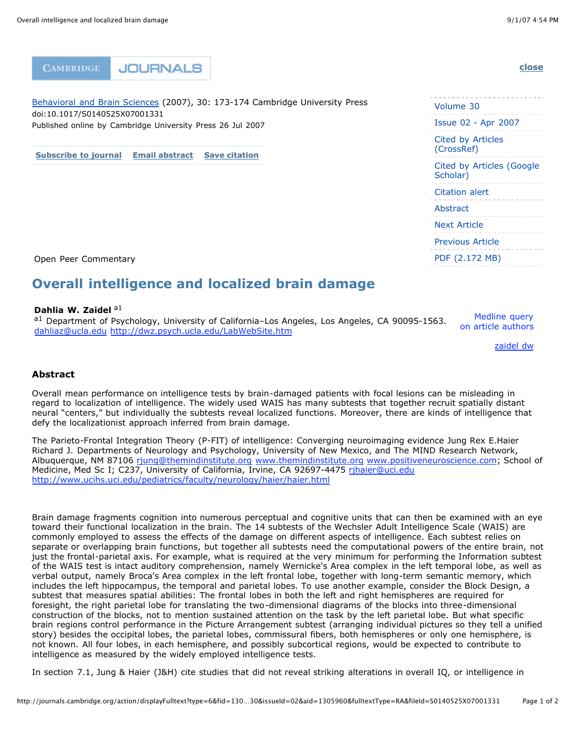**[close](http://journals.cambridge.org/action/displayFulltext?type=6&fid=1305968&jid=BBS&volumeId=30&issueId=02&aid=1305960&fulltextType=RA&fileId=S0140525X07001331#)**

**CAMBRIDGE JOURNALS** 

[Behavioral](http://journals.cambridge.org/action/displayFulltext?type=6&fid=1305968&jid=BBS&volumeId=30&issueId=02&aid=1305960&fulltextType=RA&fileId=S0140525X07001331#) and Brain Sciences (2007), 30: 173-174 Cambridge University Press doi:10.1017/S0140525X07001331 Published online by Cambridge University Press 26 Jul 2007

**[Subscribe](http://journals.cambridge.org/action/displayFulltext?type=6&fid=1305968&jid=BBS&volumeId=30&issueId=02&aid=1305960&fulltextType=RA&fileId=S0140525X07001331#) to journal Email [abstract](http://journals.cambridge.org/action/displayFulltext?type=6&fid=1305968&jid=BBS&volumeId=30&issueId=02&aid=1305960&fulltextType=RA&fileId=S0140525X07001331#) Save [citation](http://journals.cambridge.org/action/displayFulltext?type=6&fid=1305968&jid=BBS&volumeId=30&issueId=02&aid=1305960&fulltextType=RA&fileId=S0140525X07001331#)**

# Volume 30 Issue 02 - Apr 2007 Cited by Articles (CrossRef) Cited by Articles (Google Scholar) Citation alert **Abstract** Next Article Previous Article PDF (2.172 MB)

Open Peer Commentary

## **Overall intelligence and localized brain damage**

#### **Dahlia W. Zaidel** a1

a1 Department of Psychology, University of California-Los Angeles, Los Angeles, CA 90095-1563. [dahliaz@ucla.edu](mailto:dahliaz@ucla.edu) <http://dwz.psych.ucla.edu/LabWebSite.htm>

Medline query on article authors

[zaidel](http://www.ncbi.nlm.nih.gov/entrez/query.fcgi?cmd=search&db=PubMed&term=%22zaidel+dw%22%5Bau%5D) dw

#### **Abstract**

Overall mean performance on intelligence tests by brain-damaged patients with focal lesions can be misleading in regard to localization of intelligence. The widely used WAIS has many subtests that together recruit spatially distant neural "centers," but individually the subtests reveal localized functions. Moreover, there are kinds of intelligence that defy the localizationist approach inferred from brain damage.

The Parieto-Frontal Integration Theory (P-FIT) of intelligence: Converging neuroimaging evidence Jung Rex E.Haier Richard J. Departments of Neurology and Psychology, University of New Mexico, and The MIND Research Network, Albuquerque, NM 87106 [rjung@themindinstitute.org](mailto:rjung@themindinstitute.org) [www.themindinstitute.org](http://www.themindinstitute.org/) [www.positiveneuroscience.com](http://www.positiveneuroscience.com/); School of Medicine, Med Sc I; C237, University of California, Irvine, CA 92697-4475 [rjhaier@uci.edu](mailto:rjhaier@uci.edu) <http://www.ucihs.uci.edu/pediatrics/faculty/neurology/haier/haier.html>

Brain damage fragments cognition into numerous perceptual and cognitive units that can then be examined with an eye toward their functional localization in the brain. The 14 subtests of the Wechsler Adult Intelligence Scale (WAIS) are commonly employed to assess the effects of the damage on different aspects of intelligence. Each subtest relies on separate or overlapping brain functions, but together all subtests need the computational powers of the entire brain, not just the frontal-parietal axis. For example, what is required at the very minimum for performing the Information subtest of the WAIS test is intact auditory comprehension, namely Wernicke's Area complex in the left temporal lobe, as well as verbal output, namely Broca's Area complex in the left frontal lobe, together with long-term semantic memory, which includes the left hippocampus, the temporal and parietal lobes. To use another example, consider the Block Design, a subtest that measures spatial abilities: The frontal lobes in both the left and right hemispheres are required for foresight, the right parietal lobe for translating the two-dimensional diagrams of the blocks into three-dimensional construction of the blocks, not to mention sustained attention on the task by the left parietal lobe. But what specific brain regions control performance in the Picture Arrangement subtest (arranging individual pictures so they tell a unified story) besides the occipital lobes, the parietal lobes, commissural fibers, both hemispheres or only one hemisphere, is not known. All four lobes, in each hemisphere, and possibly subcortical regions, would be expected to contribute to intelligence as measured by the widely employed intelligence tests.

In section 7.1, Jung & Haier (J&H) cite studies that did not reveal striking alterations in overall IQ, or intelligence in